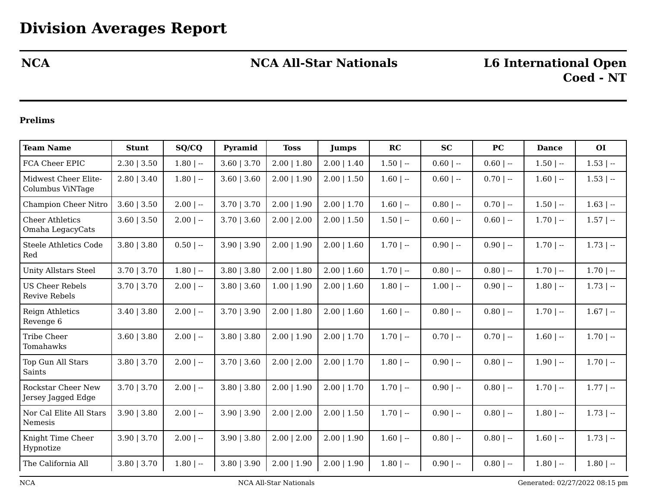# **NCA NCA All-Star Nationals L6 International Open**

# **Coed - NT**

## **Prelims**

| <b>Team Name</b>                                | <b>Stunt</b>    | SO/CO        | Pyramid         | <b>Toss</b>     | <b>Jumps</b>    | RC           | <b>SC</b>    | <b>PC</b>   | <b>Dance</b> | <b>OI</b>    |
|-------------------------------------------------|-----------------|--------------|-----------------|-----------------|-----------------|--------------|--------------|-------------|--------------|--------------|
| FCA Cheer EPIC                                  | $2.30$   $3.50$ | $1.80$   --  | $3.60$   $3.70$ | $2.00$   1.80   | $2.00$   1.40   | $1.50$   $-$ | $0.60$   --  | $0.60$   -- | $1.50$   --  | $1.53$   $-$ |
| Midwest Cheer Elite-<br>Columbus ViNTage        | $2.80$   3.40   | $1.80$   $-$ | $3.60$   $3.60$ | $2.00$   $1.90$ | $2.00$   1.50   | $1.60$   $-$ | $0.60$   --  | $0.70$   -- | $1.60$   $-$ | $1.53$   $-$ |
| Champion Cheer Nitro                            | $3.60$   $3.50$ | $2.00$   --  | $3.70$   $3.70$ | $2.00$   1.90   | $2.00$   1.70   | $1.60$   --  | $0.80$   --  | $0.70$   -- | $1.50$   $-$ | $1.63$   $-$ |
| <b>Cheer Athletics</b><br>Omaha LegacyCats      | $3.60$   $3.50$ | $2.00$   --  | $3.70$   $3.60$ | $2.00$   $2.00$ | $2.00$   1.50   | $1.50$   $-$ | $0.60$   --  | $0.60$   -- | $1.70$   $-$ | $1.57$   $-$ |
| <b>Steele Athletics Code</b><br>Red             | $3.80$   $3.80$ | $0.50$   --  | $3.90$   $3.90$ | $2.00$   $1.90$ | $2.00$   1.60   | $1.70$   $-$ | $0.90$   --  | $0.90$   -- | $1.70$   $-$ | $1.73$   $-$ |
| <b>Unity Allstars Steel</b>                     | $3.70$   $3.70$ | $1.80$   --  | $3.80$   $3.80$ | $2.00$   1.80   | $2.00$   1.60   | $1.70$   --  | $0.80$   --  | $0.80$   -- | $1.70$   $-$ | $1.70$   $-$ |
| <b>US Cheer Rebels</b><br><b>Revive Rebels</b>  | $3.70$   $3.70$ | $2.00$   --  | $3.80$   $3.60$ | $1.00$   $1.90$ | $2.00$   1.60   | $1.80$   --  | $1.00$   $-$ | $0.90$   -- | $1.80$   $-$ | $1.73$   $-$ |
| Reign Athletics<br>Revenge 6                    | $3.40$   $3.80$ | $2.00$   --  | $3.70$   $3.90$ | $2.00$   1.80   | $2.00$   1.60   | $1.60$   $-$ | $0.80$   --  | $0.80$   -- | $1.70$   $-$ | $1.67$   $-$ |
| <b>Tribe Cheer</b><br>Tomahawks                 | $3.60$   $3.80$ | $2.00$   --  | $3.80$   $3.80$ | $2.00$   $1.90$ | $2.00$   1.70   | $1.70$   --  | $0.70$   --  | $0.70$   -- | $1.60$   --  | $1.70$   $-$ |
| Top Gun All Stars<br>Saints                     | $3.80$   $3.70$ | $2.00$   --  | $3.70$   $3.60$ | $2.00$   $2.00$ | $2.00$   1.70   | $1.80$   $-$ | $0.90$   --  | $0.80$   -- | $1.90$   --  | $1.70$   $-$ |
| <b>Rockstar Cheer New</b><br>Jersey Jagged Edge | $3.70$   $3.70$ | $2.00$   --  | $3.80$   $3.80$ | $2.00$   $1.90$ | $2.00$   1.70   | $1.70$   $-$ | $0.90$   --  | $0.80$   -- | $1.70$   --  | $1.77$   $-$ |
| Nor Cal Elite All Stars<br>Nemesis              | $3.90$   $3.80$ | $2.00$   --  | $3.90$   $3.90$ | $2.00$   $2.00$ | $2.00$   $1.50$ | $1.70$   --  | $0.90$   --  | $0.80$   -- | $1.80$   --  | $1.73$   $-$ |
| Knight Time Cheer<br>Hypnotize                  | $3.90$   $3.70$ | $2.00$   $-$ | $3.90$   $3.80$ | $2.00$   $2.00$ | $2.00$   1.90   | $1.60$   --  | $0.80$   --  | $0.80$   -- | $1.60$   --  | $1.73$   $-$ |
| The California All                              | $3.80$   $3.70$ | $1.80$   --  | $3.80$   $3.90$ | $2.00$   1.90   | $2.00$   $1.90$ | $1.80$   $-$ | $0.90$   --  | $0.80$   -- | $1.80$   $-$ | $1.80$   $-$ |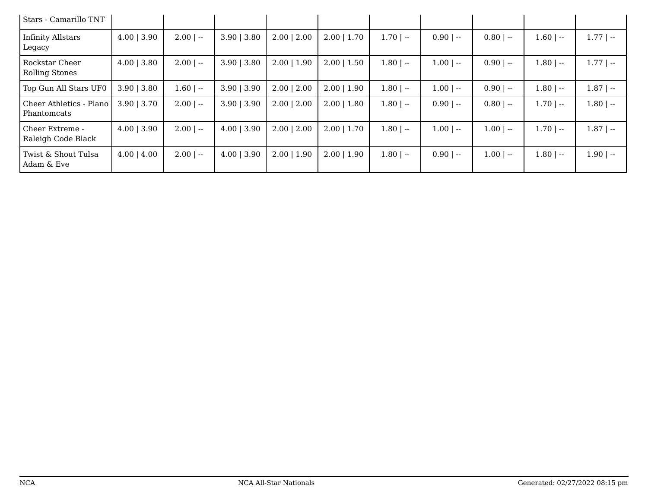| Stars - Camarillo TNT                  |                  |             |                  |                 |                 |              |             |             |             |              |
|----------------------------------------|------------------|-------------|------------------|-----------------|-----------------|--------------|-------------|-------------|-------------|--------------|
| Infinity Allstars<br>Legacy            | $4.00$   3.90    | $2.00$   -- | $3.90 \mid 3.80$ | $2.00$   2.00   | $2.00$   1.70   | $1.70$   $-$ | $0.90$   -- | $0.80$   -- | $1.60$   -- | $1.77$   --  |
| Rockstar Cheer<br>Rolling Stones       | $4.00$   3.80    | $2.00$   -- | $3.90 \mid 3.80$ | $2.00$   1.90   | $2.00$   $1.50$ | $1.80$   --  | $1.00$   -- | $0.90$   -- | $1.80$   -- | $1.77$   $-$ |
| Top Gun All Stars UF0                  | $3.90$   3.80    | $1.60$   -- | $3.90$   $3.90$  | $2.00$   $2.00$ | $2.00$   1.90   | $1.80$   --  | $1.00$   -- | $0.90$   -- | $1.80$   -- | $1.87$   $-$ |
| Cheer Athletics - Plano<br>Phantomcats | $3.90$   3.70    | $2.00$   -- | $3.90$   $3.90$  | $2.00$   $2.00$ | $2.00$   1.80   | $1.80$   --  | $0.90$   -- | $0.80$   -- | $1.70$   -- | $1.80$   --  |
| Cheer Extreme -<br>Raleigh Code Black  | $4.00 \mid 3.90$ | $2.00$   -- | $4.00$   3.90    | $2.00$   $2.00$ | $2.00$   1.70   | $1.80$   --  | $1.00$   -- | $1.00$   -- | $1.70$   -- | $1.87$   --  |
| Twist & Shout Tulsa<br>Adam & Eve      | $4.00 \mid 4.00$ | $2.00$   -- | $4.00$   3.90    | $2.00$   1.90   | $2.00$   1.90   | $1.80$   --  | $0.90$   -- | $1.00$   -- | $1.80$   -- | $1.90$   --  |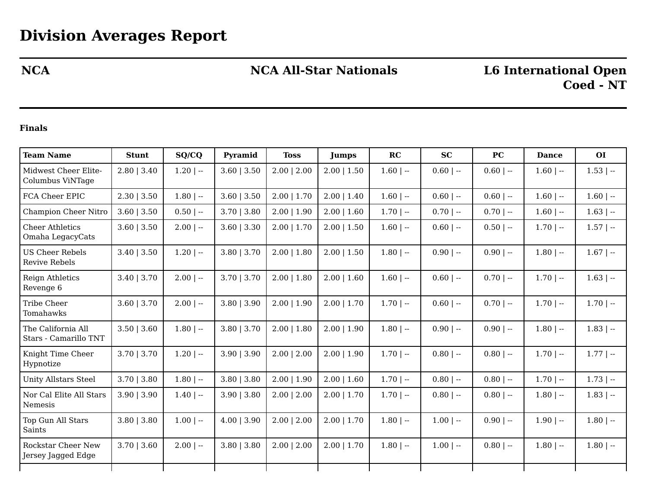## **NCA NCA All-Star Nationals L6 International Open**

### **Finals**

| <b>Team Name</b>                                | <b>Stunt</b>    | SO/CO        | Pyramid         | <b>Toss</b>     | <b>Jumps</b>    | RC           | <b>SC</b>    | <b>PC</b>   | <b>Dance</b> | O <sub>I</sub> |
|-------------------------------------------------|-----------------|--------------|-----------------|-----------------|-----------------|--------------|--------------|-------------|--------------|----------------|
| Midwest Cheer Elite-<br>Columbus ViNTage        | $2.80$   $3.40$ | $1.20$   $-$ | $3.60$   $3.50$ | $2.00$   $2.00$ | $2.00$   $1.50$ | $1.60$   $-$ | $0.60$   --  | $0.60$   -- | $1.60$   --  | $1.53$   $-$   |
| FCA Cheer EPIC                                  | 2.30   3.50     | $1.80$   --  | $3.60$   $3.50$ | $2.00$   1.70   | $2.00$   1.40   | $1.60$   $-$ | $0.60$   --  | $0.60$   -- | $1.60$   --  | $1.60$   --    |
| Champion Cheer Nitro                            | $3.60$   $3.50$ | $0.50$   --  | $3.70$   $3.80$ | $2.00$   1.90   | $2.00$   1.60   | $1.70$   $-$ | $0.70$   --  | $0.70$   -- | $1.60$   --  | $1.63$   --    |
| <b>Cheer Athletics</b><br>Omaha LegacyCats      | $3.60$   $3.50$ | $2.00$   --  | $3.60$   $3.30$ | $2.00$   1.70   | $2.00$   1.50   | $1.60$   $-$ | $0.60$   --  | $0.50$   -- | $1.70$   $-$ | $1.57$   $-$   |
| <b>US Cheer Rebels</b><br><b>Revive Rebels</b>  | $3.40$   $3.50$ | $1.20$   --  | $3.80$   $3.70$ | $2.00$   1.80   | $2.00$   1.50   | $1.80$   --  | $0.90$   --  | $0.90$   -- | $1.80$   --  | $1.67$   --    |
| Reign Athletics<br>Revenge 6                    | $3.40$   $3.70$ | $2.00$   --  | $3.70$   $3.70$ | $2.00$   1.80   | $2.00$   1.60   | $1.60$   $-$ | $0.60$   --  | $0.70$   -- | $1.70$   $-$ | $1.63$   $-$   |
| Tribe Cheer<br>Tomahawks                        | $3.60$   $3.70$ | $2.00$   --  | $3.80$   $3.90$ | $2.00$   1.90   | $2.00$   1.70   | $1.70$   $-$ | $0.60$   --  | $0.70$   -- | $1.70$   $-$ | $1.70$   $-$   |
| The California All<br>Stars - Camarillo TNT     | $3.50$   $3.60$ | $1.80$   --  | $3.80$   $3.70$ | $2.00$   1.80   | $2.00$   1.90   | $1.80$   $-$ | $0.90$   --  | $0.90$   -- | $1.80$   --  | $1.83$   $-$   |
| Knight Time Cheer<br>Hypnotize                  | $3.70$   $3.70$ | $1.20$   $-$ | 3.90   3.90     | $2.00$   $2.00$ | $2.00$   1.90   | $1.70$   --  | $0.80$   --  | $0.80$   -- | $1.70$   $-$ | $1.77$   --    |
| <b>Unity Allstars Steel</b>                     | $3.70$   $3.80$ | $1.80$   --  | $3.80$   $3.80$ | $2.00$   $1.90$ | $2.00$   1.60   | $1.70$   $-$ | $0.80$   --  | $0.80$   -- | $1.70$   $-$ | $1.73$   --    |
| Nor Cal Elite All Stars<br>Nemesis              | $3.90$   $3.90$ | $1.40$   $-$ | $3.90$   $3.80$ | $2.00$   $2.00$ | $2.00$   1.70   | $1.70$   $-$ | $0.80$   --  | $0.80$   -- | $1.80$   --  | $1.83$   $-$   |
| Top Gun All Stars<br>Saints                     | $3.80$   $3.80$ | $1.00$   --  | $4.00$   3.90   | $2.00$   $2.00$ | $2.00$   1.70   | $1.80$   --  | $1.00$   $-$ | $0.90$   -- | $1.90$   $-$ | $1.80$   $-$   |
| <b>Rockstar Cheer New</b><br>Jersey Jagged Edge | $3.70$   $3.60$ | $2.00$   --  | $3.80$   $3.80$ | $2.00$   $2.00$ | $2.00$   1.70   | $1.80$   --  | $1.00$   $-$ | $0.80$   -- | $1.80$   $-$ | $1.80$   --    |
|                                                 |                 |              |                 |                 |                 |              |              |             |              |                |